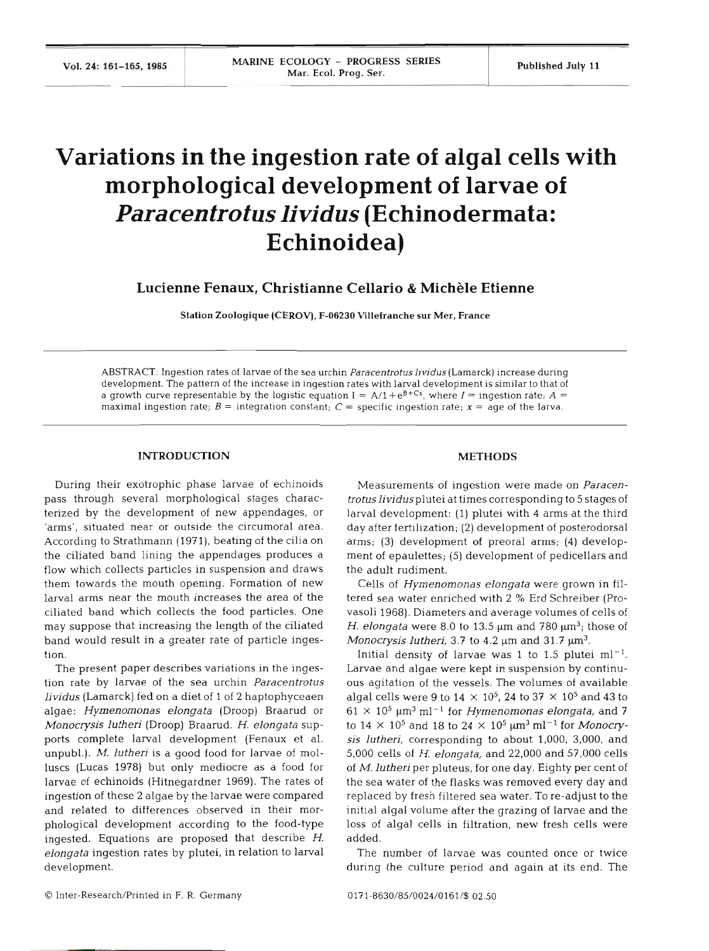# **Variations in the ingestion rate of algal cells with morphological development of larvae of Paracentrotus lividus (Echinodermata: Echinoidea)**

**Lucienne Fenaux, Christianne Cellario** & **Michele Etienne** 

**Station Zoologique (CEROV), F-06230 Villefranche** sur **Mer, France** 

ABSTRACT: Ingestion rates of larvae of the sea urchin *Paracentrotus hvidus* (Lamarck) increase during development. The pattern of the increase in ingestion rates with larval development is similar to that of a growth curve representable by the logistic equation  $I = A/1 + e^{B+Cx}$ , where  $I =$  ingestion rate;  $A =$ maximal ingestion rate;  $B =$  integration constant;  $C =$  specific ingestion rate;  $x =$  age of the larva.

### **INTRODUCTION**

During their exotrophic phase larvae of echinoids pass through several morphological stages characterized by the development of new appendages, or 'arms', situated near or outside the circumoral area. According to Strathmann (1971), beating of the cilia on the ciliated band lining the appendages produces a flow which collects particles in suspension and draws them towards the mouth opening. Formation of new larval arms near the mouth increases the area of ciliated band which collects the food particles. One may suppose that increasing the length of the ciliated band would result in a greater rate of particle ingestion.

The present paper describes variations in the ingestion rate by larvae of the sea urchin Paracentrotus lividus (Lamarck) fed on a diet of 1 of 2 haptophyceaen algae: Hymenomonas elongata (Droop) Braarud or Monocrysis lutheri (Droop) Braarud. H. elongata supports complete larval development (Fenaux et al. unpubl.). M. lutheri is a good food for larvae of molluscs (Lucas 1978) but only mediocre as a food for larvae of echinoids (Hitnegardner 1969). The rates of ingestion of these 2 algae by the larvae were compared and related to differences observed in their morphological development according to the food-type ingested. Equations are proposed that describe H. elongata ingestion rates by plutei, in relation to larval development.

# **METHODS**

Measurements of ingestion were made on Paracentrotus lividus plutei at times corresponding to 5 stages of larval development: (1) plutei with 4 arms at the third day after fertilization; (2) development of posterodorsal arms; (3) development of preoral arms; (4) development of epaulettes; (5) development of pedicellars and the adult rudim

Cells of Hymenomonas elongata were grown in filtered sea water enriched with 2 % Erd Schreiber (Provasoli 1968). Diameters and average volumes of cells of H. elongata were 8.0 to 13.5  $\mu$ m and 780  $\mu$ m<sup>3</sup>; those of Monocrysis lutheri, 3.7 to 4.2  $\mu$ m and 31.7  $\mu$ m<sup>3</sup>.

Initial density of larvae was 1 to 1.5 plutei  $ml^{-1}$ . Larvae and algae were kept in suspension by continuous agitation of the vessels. The volumes of available algal cells were 9 to  $14 \times 10^5$ , 24 to 37  $\times$  10<sup>5</sup> and 43 to  $61 \times 10^5$   $\mu$ m<sup>3</sup> ml<sup>-1</sup> for *Hymenomonas elongata*, and 7 to  $14 \times 10^5$  and  $18$  to  $24 \times 10^5$   $\mu$ m<sup>3</sup> ml<sup>-1</sup> for *Monocry*sis lutheri, corresponding to about 1,000, 3,000, and 5,000 cells of H. elongata, and 22,000 and 57,000 cells of M. lutheri per pluteus, for one day. Eighty per cent of the sea water of the flasks was removed every day and replaced by fresh filtered sea water. To re-adjust to the initial algal volume after the grazing of larvae and the loss of algal cells in filtration, new fresh cells were add

The number of larvae was counted once or tv during the culture period and again at its end. The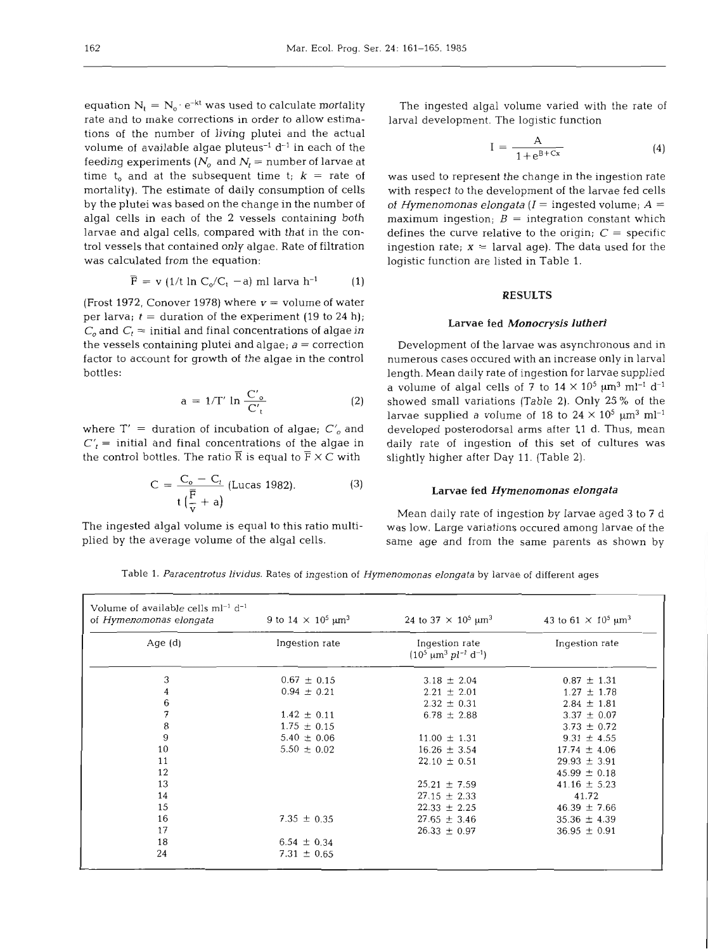equation  $N_t = N_o \cdot e^{-kt}$  was used to calculate mortality rate and to make corrections in order to allow estimations of the number of living plutei and the actual volume of available algae pluteus<sup>-1</sup>  $d^{-1}$  in each of the feeding experiments ( $N_o$  and  $N_t$  = number of larvae at time t<sub>o</sub> and at the subsequent time t;  $k =$  rate of mortality). The estimate of daily consumption of cells by the plutei was based on the change in the number of algal cells in each of the 2 vessels containing both larvae and algal cells, compared with that in the control vessels that contained only algae. Rate of filtration was calculated from the equation:

$$
\overline{F} = v \left( 1/t \ln C_o/C_t - a \right) \text{ ml larva } h^{-1} \tag{1}
$$

(Frost 1972, Conover 1978) where  $v =$  volume of water per larva;  $t =$  duration of the experiment (19 to 24 h);  $C<sub>o</sub>$  and  $C<sub>t</sub>$  = initial and final concentrations of algae in the vessels containing plutei and algae;  $a =$  correction factor to account for growth of the algae in the control bottles:

$$
a = 1/T' \ln \frac{C'_o}{C'_t} \tag{2}
$$

where  $T' =$  duration of incubation of algae;  $C'_{o}$  and  $C'_t$  = initial and final concentrations of the algae in the control bottles. The ratio  $\overline{R}$  is equal to  $\overline{F} \times C$  with

$$
C = \frac{C_o - C_t}{t\left(\frac{\overline{F}}{V} + a\right)} \text{ (Lucas 1982).} \tag{3}
$$

The ingested algal volume varied with the rate of larval development. The logistic function

$$
I = \frac{A}{1 + e^{B + Cx}} \tag{4}
$$

was used to represent the change in the ingestion rate with respect to the development of the larvae fed cells of *Hymenomonas elongata*  $(I =$  ingested volume;  $A =$ maximum ingestion;  $B =$  integration constant which defines the curve relative to the origin;  $C =$  specific ingestion rate;  $x =$  larval age). The data used for the logistic function are listed in Table 1.

### **RESULTS**

# **Larvae fed** *Monocrysis lutheri*

Development of the larvae was asynchronous and in numerous cases occured with an increase only in larval length. Mean daily rate of ingestion for larvae supplied a volume of algal cells of 7 to  $14 \times 10^5$   $\mu$ m<sup>3</sup> ml<sup>-1</sup> d<sup>-1</sup> showed small variations (Table **2).** Only 25 % of the larvae supplied a volume of 18 to  $24 \times 10^5$   $\mu$ m<sup>3</sup> ml<sup>-1</sup> developed posterodorsal arms after 11 d. Thus, mean daily rate of ingestion of this set of cultures was slightly higher after Day 11. (Table **2).** 

#### Larvae fed *Hymenomonas elongata*

Mean daily rate of ingestion by larvae aged 3 to 7 d The ingested algal volume is equal to this ratio multi- was low. Large variations occured among larvae of the <sup>p</sup>lied by the average volume of the algal cells. same age and from the same parents as shown by

**Table** 1. *Paracentrotus lividus.* **Rates of ingestion of** *Hymenomonas elongata* **by larvae of different ages** 

| Volume of available cells $ml^{-1}$ d <sup>-1</sup><br>of Hymenomonas elongata | 9 to 14 $\times$ 10 <sup>5</sup> µm <sup>3</sup> | 24 to 37 $\times$ 10 <sup>5</sup> µm <sup>3</sup>                   | 43 to 61 $\times$ 10 <sup>5</sup> µm <sup>3</sup> |  |  |
|--------------------------------------------------------------------------------|--------------------------------------------------|---------------------------------------------------------------------|---------------------------------------------------|--|--|
| Age $(d)$                                                                      | Ingestion rate                                   | Ingestion rate<br>$(10^5 \ \mu m^3 \text{ pl}^{-1} \text{ d}^{-1})$ | Ingestion rate                                    |  |  |
| 3                                                                              | $0.67 \pm 0.15$                                  | $3.18 \pm 2.04$                                                     | $0.87 \pm 1.31$                                   |  |  |
| 4                                                                              | $0.94 \pm 0.21$                                  | $2.21 \pm 2.01$                                                     | $1.27 \pm 1.78$                                   |  |  |
| 6                                                                              |                                                  | $2.32 \pm 0.31$                                                     | $2.84 \pm 1.81$                                   |  |  |
| 7                                                                              | $1.42 \pm 0.11$                                  | $6.78 \pm 2.88$                                                     | $3.37 \pm 0.07$                                   |  |  |
| 8                                                                              | $1.75 \pm 0.15$                                  |                                                                     | $3.73 \pm 0.72$                                   |  |  |
| 9                                                                              | $5.40 \pm 0.06$                                  | $11.00 \pm 1.31$                                                    | $9.31 \pm 4.55$                                   |  |  |
| 10                                                                             | $5.50 \pm 0.02$                                  | $16.26 \pm 3.54$                                                    | $17.74 \pm 4.06$                                  |  |  |
| 11                                                                             |                                                  | $22.10 \pm 0.51$                                                    | $29.93 \pm 3.91$                                  |  |  |
| 12                                                                             |                                                  |                                                                     | $45.99 \pm 0.18$                                  |  |  |
| 13                                                                             |                                                  | $25.21 \pm 7.59$                                                    | $41.16 \pm 5.23$                                  |  |  |
| 14                                                                             |                                                  | $27.15 \pm 2.33$                                                    | 41.72                                             |  |  |
| 15                                                                             |                                                  | $22.33 \pm 2.25$                                                    | $46.39 \pm 7.66$                                  |  |  |
| 16                                                                             | 7.35 $\pm$ 0.35                                  | $27.65 \pm 3.46$                                                    | $35.36 \pm 4.39$                                  |  |  |
| 17                                                                             |                                                  | $26.33 \pm 0.97$                                                    | $36.95 \pm 0.91$                                  |  |  |
| 18                                                                             | $6.54 \pm 0.34$                                  |                                                                     |                                                   |  |  |
| 24                                                                             | 7.31 $\pm$ 0.65                                  |                                                                     |                                                   |  |  |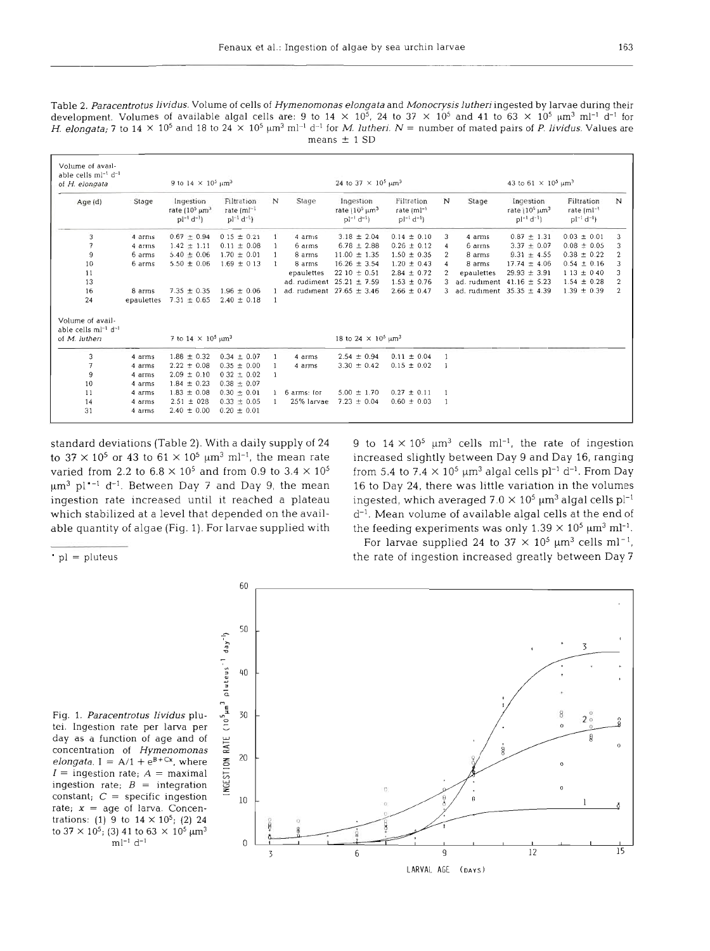Table 2. Paracentrotus lividus. Volume of cells of Hymenomonas elongata and Monocrysis lutheri ingested by larvae during their development. Volumes of available algal cells are: 9 to  $14 \times 10^5$ , 24 to 37  $\times$  10<sup>5</sup> and 41 to 63  $\times$  10<sup>5</sup>  $\mu$ m<sup>3</sup> ml<sup>-1</sup> d<sup>-1</sup> for H. elongata; 7 to 14 × 10<sup>5</sup> and 18 to 24 × 10<sup>5</sup>  $\mu$ m<sup>3</sup> ml<sup>-1</sup> d<sup>-1</sup> for M. lutheri. N = number of mated pairs of P. lividus. Values are means  $\pm$  1 SD

| Volume of avail-<br>able cells ml <sup>-1</sup> d <sup>-1</sup><br>of H. elongata |            | 9 to 14 $\times$ 10 <sup>5</sup> µm <sup>3</sup>          |                                              |   |               | 24 to 37 $\times$ 10 <sup>5</sup> µm <sup>3</sup>                                       |                                                    |                |              | 43 to 61 $\times$ 10 <sup>5</sup> µm <sup>3</sup>                              |                                                    |   |
|-----------------------------------------------------------------------------------|------------|-----------------------------------------------------------|----------------------------------------------|---|---------------|-----------------------------------------------------------------------------------------|----------------------------------------------------|----------------|--------------|--------------------------------------------------------------------------------|----------------------------------------------------|---|
| Age(d)                                                                            | Stage      | Ingestion<br>rate $(105 \text{µm}^3)$<br>$pl^{-1} d^{-1}$ | Filtration<br>rate (m)-1<br>$pl^{-1} d^{-1}$ | N | Stage         | Ingestion<br>rate $(10^5 \,\mathrm{\upmu m^3})$<br>$p$ <sup>1-1</sup> d <sup>-1</sup> 1 | Filtration<br>rate $\{ml^{-1}$<br>$pl^{-1} d^{-1}$ | N              | Stage        | Ingestion<br>rate $(10^5 \,\mathrm{\upmu m^3})$<br>$pl^{-1}$ d <sup>-1</sup> ) | Filtration<br>rate $[ml^{-1}]$<br>$pl^{-1} d^{-1}$ | N |
| 3                                                                                 | 4 arms     | $0.67 \pm 0.94$                                           | $015 \pm 0.21$                               |   | 4 arms        | $3.18 \pm 2.04$                                                                         | $0.14 \pm 0.10$                                    | 3              | 4 arms       | $0.87 \pm 1.31$                                                                | $0.03 \pm 0.01$                                    | 3 |
| 7                                                                                 | 4 arms     | $1.42 \pm 1.11$                                           | $0.11 \pm 0.08$                              |   | 6 arms        | $6.78 \pm 2.88$                                                                         | $0.26 \pm 0.12$                                    |                | 6 arms       | $3.37 \pm 0.07$                                                                | $0.08 \pm 0.05$                                    | з |
| 9                                                                                 | 6 arms     | $5.40 \pm 0.06$                                           | $1.70 \pm 0.01$                              |   | 8 arms        | $11.00 \pm 1.35$                                                                        | $1.50 \pm 0.35$                                    | $\mathbf{2}$   | 8 arms       | $9.31 \pm 4.55$                                                                | $0.38 \pm 0.22$                                    |   |
| 10                                                                                | 6 arms     | $5.50 \pm 0.06$                                           | $1.69 \pm 0.13$                              |   | 8 arms        | $16.26 \pm 3.54$                                                                        | $1.20 \pm 0.43$                                    |                | 8 arms       | $17.74 \pm 4.06$                                                               | $0.54 \pm 0.16$                                    |   |
| 11                                                                                |            |                                                           |                                              |   | epaulettes    | $2210 \pm 0.51$                                                                         | $2.84 \pm 0.72$                                    |                | epaulettes   | $29.93 \pm 3.91$                                                               | $113 \pm 040$                                      |   |
| 13                                                                                |            |                                                           |                                              |   | ad. rudiment  | $25.21 \pm 7.59$                                                                        | $1.53 \pm 0.76$                                    |                | ad. rudiment | $41.16 \pm 5.23$                                                               | $1.54 \pm 0.28$                                    |   |
| 16                                                                                | 8 arms     | $7.35 \pm 0.35$                                           | $1.96 \pm 0.06$                              |   | ad. rudiment  | $27.65 \pm 3.46$                                                                        | $2.66 \pm 0.47$                                    |                | ad. rudiment | $35.35 \pm 4.39$                                                               | $1.39 \pm 0.39$                                    | 2 |
| 24                                                                                | epaulettes | $7.31 \pm 0.65$                                           | $2.40 \pm 0.18$                              |   |               |                                                                                         |                                                    |                |              |                                                                                |                                                    |   |
| Volume of avail-                                                                  |            |                                                           |                                              |   |               |                                                                                         |                                                    |                |              |                                                                                |                                                    |   |
| able cells ml <sup>-1</sup> d <sup>-1</sup><br>of M. lutheri                      |            | 7 to $14 \times 10^5 \,\mathrm{\upmu m^3}$                |                                              |   |               | 18 to 24 $\times$ 10 <sup>5</sup> $\mu$ m <sup>3</sup>                                  |                                                    |                |              |                                                                                |                                                    |   |
| 3                                                                                 | 4 arms     | $1.88 \pm 0.32$                                           | $0.34 \pm 0.07$                              |   | 4 arms        | $2.54 \pm 0.94$                                                                         | $0.11 \pm 0.04$                                    |                |              |                                                                                |                                                    |   |
| 7                                                                                 | 4 arms     | $2.22 \pm 0.08$                                           | $0.35 \pm 0.00$                              |   | 4 arms        | $3.30 \pm 0.42$                                                                         | $0.15 \pm 0.02$                                    |                |              |                                                                                |                                                    |   |
| 9                                                                                 | 4 arms     | $2.09 \pm 0.10$                                           | $0.32 \pm 0.02$                              |   |               |                                                                                         |                                                    |                |              |                                                                                |                                                    |   |
| 10                                                                                | 4 arms     | $1.84 \pm 0.23$                                           | $0.38 \pm 0.07$                              |   |               |                                                                                         |                                                    |                |              |                                                                                |                                                    |   |
| 11                                                                                | 4 arms     | $1.83 \pm 0.08$                                           | $0.30 \pm 0.01$                              |   | 1 6 arms: for | $5.00 \pm 1.70$                                                                         | $0.27 \pm 0.11$                                    |                |              |                                                                                |                                                    |   |
| 14                                                                                | 4 arms     | $2.51 \pm 028$                                            | $0.33 \pm 0.05$                              |   | 25% larvae    | $7.23 \pm 0.04$                                                                         | $0.60 \pm 0.03$                                    | $\overline{1}$ |              |                                                                                |                                                    |   |
| 31                                                                                | 4 arms     | $2.40 \pm 0.00$                                           | $0.20 \pm 0.01$                              |   |               |                                                                                         |                                                    |                |              |                                                                                |                                                    |   |

standard deviations (Table 2). With a daily supply of 24 to  $37 \times 10^5$  or 43 to  $61 \times 10^5$   $\mu$ m<sup>3</sup> ml<sup>-1</sup>, the mean rate varied from 2.2 to  $6.8 \times 10^5$  and from 0.9 to 3.4  $\times$  10<sup>5</sup>  $\mu$ m<sup>3</sup> pl<sup>\*-1</sup> d<sup>-1</sup>. Between Day 7 and Day 9, the mean ingestion rate increased until it reached a plateau which stabilized at a level that depended on the available quantity of algae (Fig. 1). For larvae supplied with 9 to  $14 \times 10^5$  µm<sup>3</sup> cells ml<sup>-1</sup>, the rate of ingestion increased slightly between Day 9 and Day 16, ranging from 5.4 to 7.4  $\times$  10<sup>5</sup> µm<sup>3</sup> algal cells pl<sup>-1</sup> d<sup>-1</sup>. From Day 16 to Day 24, there was little variation in the volumes ingested, which averaged  $7.0 \times 10^5$  µm<sup>3</sup> algal cells pl<sup>-1</sup> d<sup>-1</sup>. Mean volume of available algal cells at the end of the feeding experiments was only  $1.39 \times 10^5$   $\mu$ m<sup>3</sup> ml<sup>-1</sup>.

 $|p|$  = pluteus

For larvae supplied 24 to  $37 \times 10^5$   $\mu$ m<sup>3</sup> cells ml<sup>-1</sup>, the rate of ingestion increased greatly between Day 7

Fig. 1. Paracentrotus lividus plutei. Ingestion rate per larva per day as a function of age and of concentration of Hymenomonas elongata. I =  $A/1 + e^{B+Cx}$ , where  $I =$  ingestion rate;  $A =$  maximal ingestion rate;  $B =$  integration constant;  $C =$  specific ingestion rate;  $x = age$  of larva. Concentrations: (1) 9 to  $14 \times 10^5$ ; (2) 24 to 37  $\times$  10<sup>5</sup>; (3) 41 to 63  $\times$  10<sup>5</sup>  $\mu$ m<sup>3</sup>  $\mathrm{m}{\rm l}^{-1}$  d<sup>-1</sup>

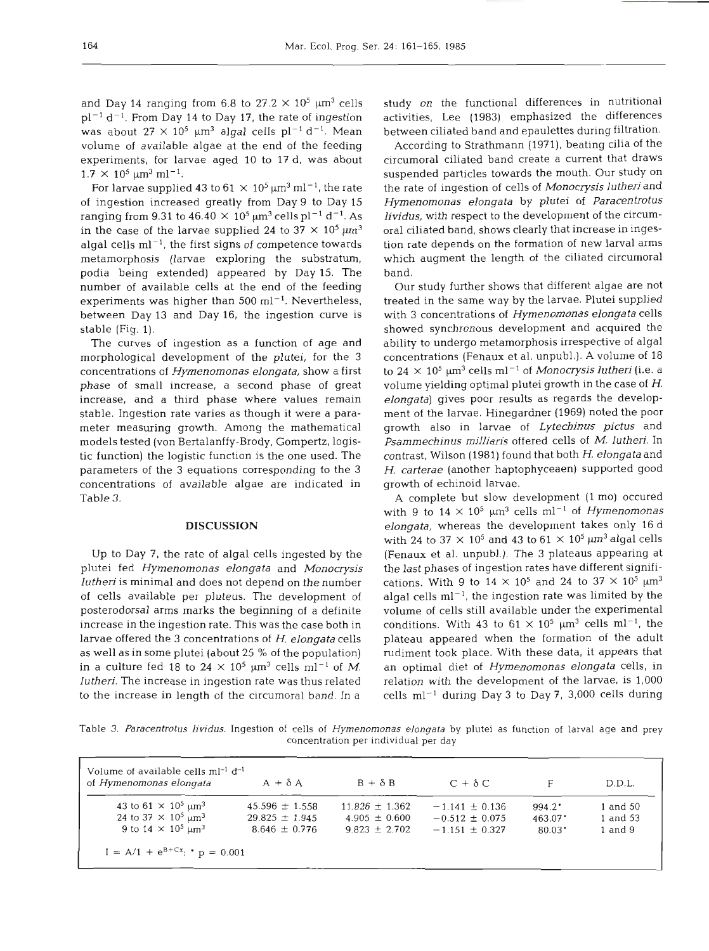and Day 14 ranging from 6.8 to  $27.2 \times 10^5$   $\mu$ m<sup>3</sup> cells  $pl^{-1}$  d<sup>-1</sup>. From Day 14 to Day 17, the rate of ingestion was about  $27 \times 10^5$   $\mu$ m<sup>3</sup> algal cells pl<sup>-1</sup> d<sup>-1</sup>. Mean volume of available algae at the end of the feeding experiments, for larvae aged 10 to 17 d, was about  $1.7 \times 10^5 \ \mu m^3 \ m l^{-1}$ .

For larvae supplied 43 to  $61 \times 10^5$   $\mu$ m<sup>3</sup> ml<sup>-1</sup>, the rate of ingestion increased greatly from Day 9 to Day 15 ranging from 9.31 to 46.40  $\times$  10<sup>5</sup>  $\mu$ m<sup>3</sup> cells pl<sup>-1</sup> d<sup>-1</sup>. As in the case of the larvae supplied 24 to  $37 \times 10^5 \,\mathrm{\upmu m^3}$ algal cells  $ml^{-1}$ , the first signs of competence towards metamorphosis (larvae exploring the substratum, podia being extended) appeared by Day 15. The number of available cells at the end of the feeding experiments was higher than  $500 \text{ ml}^{-1}$ . Nevertheless, between Day 13 and Day 16, the ingestion curve is stable (Fig. 1).

The curves of ingestion as a function of age and morphological development of the plutei, for the 3 concentrations of *Hymenornonas elongata,* show a first phase of small increase, a second phase of great increase, and a third phase where values remain stable. Ingestion rate varies as though it were a parameter measuring growth. Among the mathematical models tested (von Bertalanffy-Brody, Gompertz, logistic function) the logistic function is the one used. The parameters of the 3 equations corresponding to the 3 concentrations of available algae are indicated in Table **3.** 

# **DISCUSSION**

Up to Day **7,** the rate of algal cells ingested by the plutei fed *Hymenornonas elongata* and *Monocrysis lutheri* is minimal and does not depend on the number of cells available per pluteus. The development of posterodorsal arms marks the beginning of a definite increase in the ingestion rate. This was the case both in larvae offered the **3** concentrations of *H. elongata* cells as well as in some plutei (about 25 % of the population) in a culture fed 18 to 24  $\times$  10<sup>5</sup>  $\mu$ m<sup>3</sup> cells ml<sup>-1</sup> of *M*. *lutheri.* The increase in ingestion rate was thus related to the increase in length of the circumoral band. In a

study on the functional differences in nutritional activities, Lee (1983) emphasized the differences between ciliated band and epaulettes during filtration.

According to Strathmann (1971), beating cilia of the circumoral ciliated band create a current that draws suspended particles towards the mouth. Our study on the rate of ingestion of cells of *Monocrysis lutheri* and *Hymenomonas elongata* by plutei of *Paracentrotus lividus,* with respect to the development of the circumoral ciliated band, shows clearly that increase in ingestion rate depends on the formation of new larval arms which augment the length of the ciliated circumoral band.

Our study further shows that different algae are not treated in the same way by the larvae. Plutei supplied with 3 concentrations of *Hymenornonas elongata* cells showed synchronous development and acquired the ability to undergo metamorphosis irrespective of algal concentrations (Fenaux et al. unpubl.). A volume of 18 to  $24 \times 10^5$   $\mu$ m<sup>3</sup> cells ml<sup>-1</sup> of *Monocrysis lutheri* (i.e. a volume yielding optimal plutei growth in the case of H. *elongata)* gives poor results as regards the development of the larvae. Hinegardner (1969) noted the poor growth also in larvae of *Lytechinus pictus* and *Psamrnechinus milliaris* offered cells of *M. lutheri.* In contrast, Wilson (1981) found that both H. *elongata* and *H. carterae* (another haptophyceaen) supported good growth of echinoid larvae.

A complete but slow development (l mo) occured with 9 to  $14 \times 10^5$   $\mu$ m<sup>3</sup> cells ml<sup>-1</sup> of *Hymenomonas elongata,* whereas the development takes only 16 d with 24 to 37  $\times$  10<sup>5</sup> and 43 to 61  $\times$  10<sup>5</sup> µm<sup>3</sup> algal cells (Fenaux et al. unpubl.). The 3 plateaus appearing at the last phases of ingestion rates have different significations. With 9 to  $14 \times 10^5$  and 24 to  $37 \times 10^5$   $\mu$ m<sup>3</sup> algal cells  $ml^{-1}$ , the ingestion rate was limited by the volume of cells still available under the experimental conditions. With 43 to  $61 \times 10^5$   $\mu$ m<sup>3</sup> cells ml<sup>-1</sup>, the plateau appeared when the formation of the adult rudiment took place. With these data, it appears that an optimal diet of *Hyrnenomonas elongata* cells, in relation with the development of the larvae, is 1,000 cells  $ml^{-1}$  during Day 3 to Day 7, 3,000 cells during

Table 3. *Paracentrotus lividus.* Ingestion of cells of *Hymenomonas elongata* by plutei as function of larval age and prey concentration per individual per day

| of Hymenomonas elongata                                | $A + \delta A$     | $B + \delta B$     | $C + \delta C$     |                       | D.D.L.      |
|--------------------------------------------------------|--------------------|--------------------|--------------------|-----------------------|-------------|
| 43 to 61 $\times$ 10 <sup>5</sup> um <sup>3</sup>      | $45.596 \pm 1.558$ | $11.826 \pm 1.362$ | $-1.141 \pm 0.136$ | $994.2^{\bullet}$     | 1 and 50    |
| 24 to 37 $\times$ 10 <sup>5</sup> $\mu$ m <sup>3</sup> | $29.825 \pm 1.945$ | $4.905 \pm 0.600$  | $-0.512 \pm 0.075$ | $463.07$ <sup>*</sup> | 1 and 53    |
| 9 to $14 \times 10^5$ um <sup>3</sup>                  | $8.646 \pm 0.776$  | $9.823 \pm 2.702$  | $-1.151 + 0.327$   | $80.03$ <sup>*</sup>  | $1$ and $9$ |